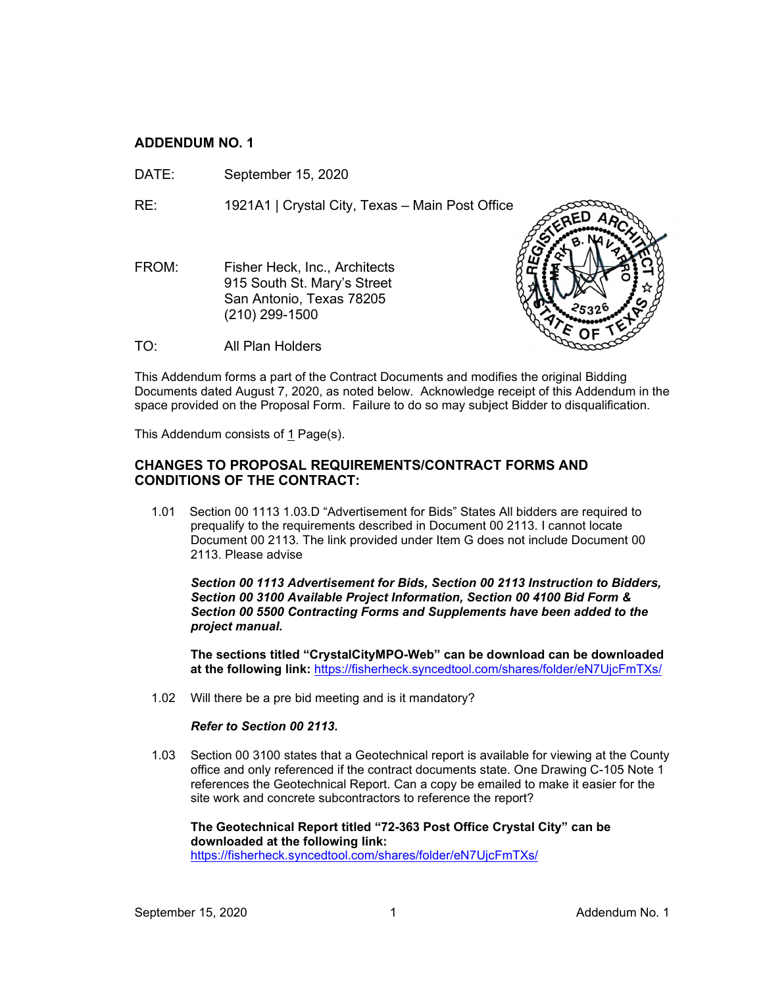## **ADDENDUM NO. 1**

DATE: September 15, 2020

RE: 1921A1 | Crystal City, Texas – Main Post Office

FROM: Fisher Heck, Inc., Architects 915 South St. Mary's Street San Antonio, Texas 78205 (210) 299-1500



TO: All Plan Holders

This Addendum forms a part of the Contract Documents and modifies the original Bidding Documents dated August 7, 2020, as noted below. Acknowledge receipt of this Addendum in the space provided on the Proposal Form. Failure to do so may subject Bidder to disqualification.

This Addendum consists of 1 Page(s).

## **CHANGES TO PROPOSAL REQUIREMENTS/CONTRACT FORMS AND CONDITIONS OF THE CONTRACT:**

1.01 Section 00 1113 1.03.D "Advertisement for Bids" States All bidders are required to prequalify to the requirements described in Document 00 2113. I cannot locate Document 00 2113. The link provided under Item G does not include Document 00 2113. Please advise

*Section 00 1113 Advertisement for Bids, Section 00 2113 Instruction to Bidders, Section 00 3100 Available Project Information, Section 00 4100 Bid Form & Section 00 5500 Contracting Forms and Supplements have been added to the project manual.*

**The sections titled "CrystalCityMPO-Web" can be download can be downloaded at the following link:** <https://fisherheck.syncedtool.com/shares/folder/eN7UjcFmTXs/>

1.02 Will there be a pre bid meeting and is it mandatory?

## *Refer to Section 00 2113.*

1.03 Section 00 3100 states that a Geotechnical report is available for viewing at the County office and only referenced if the contract documents state. One Drawing C-105 Note 1 references the Geotechnical Report. Can a copy be emailed to make it easier for the site work and concrete subcontractors to reference the report?

**The Geotechnical Report titled "72-363 Post Office Crystal City" can be downloaded at the following link:**  <https://fisherheck.syncedtool.com/shares/folder/eN7UjcFmTXs/>